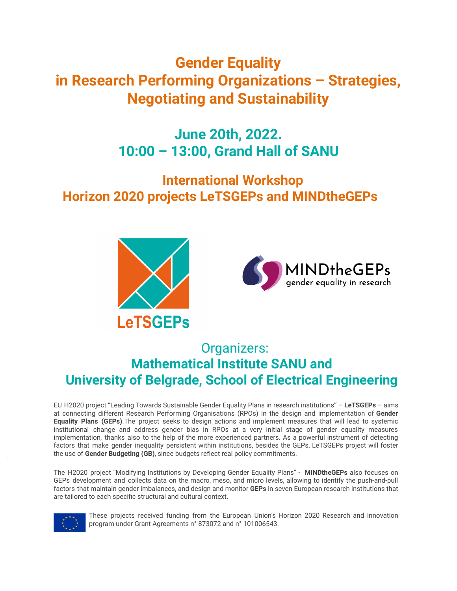# **Gender Equality in Research Performing Organizations – Strategies, Negotiating and Sustainability**

# **June 20th, 2022. 10:00 – 13:00, Grand Hall of SANU**

# **International Workshop Horizon 2020 projects LeTSGEPs and MINDtheGEPs**





# Organizers: **Mathematical Institute SANU and University of Belgrade, School of Electrical Engineering**

EU H2020 project "Leading Towards Sustainable Gender Equality Plans in research institutions" – **LeTSGEPs** – aims at connecting different Research Performing Organisations (RPOs) in the design and implementation of **Gender Equality Plans (GEPs)**.The project seeks to design actions and implement measures that will lead to systemic institutional change and address gender bias in RPOs at a very initial stage of gender equality measures implementation, thanks also to the help of the more experienced partners. As a powerful instrument of detecting factors that make gender inequality persistent within institutions, besides the GEPs, LeTSGEPs project will foster the use of **Gender Budgeting (GB)**, since budgets reflect real policy commitments.

The H2020 project "Modifying Institutions by Developing Gender Equality Plans" - **MINDtheGEPs** also focuses on GEPs development and collects data on the macro, meso, and micro levels, allowing to identify the push-and-pull factors that maintain gender imbalances, and design and monitor **GEPs** in seven European research institutions that are tailored to each specific structural and cultural context.



These projects received funding from the European Union's Horizon 2020 Research and Innovation program under Grant Agreements n° 873072 and n° 101006543.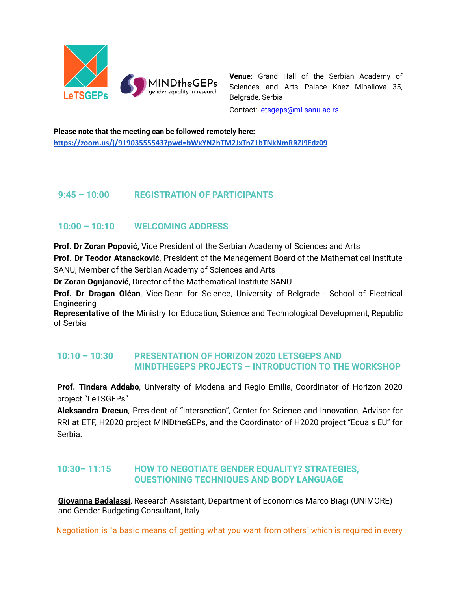

**Venue**: Grand Hall of the Serbian Academy of Sciences and Arts Palace Knez Mihailova 35, Belgrade, Serbia

Contact: [letsgeps@mi.sanu.ac.rs](mailto:letsgeps@mi.sanu.ac.rs)

**Please note that the meeting can be followed remotely here: <https://zoom.us/j/91903555543?pwd=bWxYN2hTM2JxTnZ1bTNkNmRRZi9Edz09>**

## **9:45 – 10:00 REGISTRATION OF PARTICIPANTS**

# **10:00 – 10:10 WELCOMING ADDRESS**

**Prof. Dr Zoran Popović,** Vice President of the Serbian Academy of Sciences and Arts

**Prof. Dr Teodor Atanacković**, President of the Management Board of the Mathematical Institute SANU, Member of the Serbian Academy of Sciences and Arts

**Dr Zoran Ognjanović**, Director of the Mathematical Institute SANU

**Prof. Dr Dragan Olćan**, Vice-Dean for Science, University of Belgrade - School of Electrical Engineering

**Representative of the** Ministry for Education, Science and Technological Development, Republic of Serbia

## **10:10 – 10:30 PRESENTATION OF HORIZON 2020 LETSGEPS AND MINDTHEGEPS PROJECTS – INTRODUCTION TO THE WORKSHOP**

**Prof. Tindara Addabo**, University of Modena and Regio Emilia, Coordinator of Horizon 2020 project "LeTSGEPs"

**Aleksandra Drecun**, President of "Intersection", Center for Science and Innovation, Advisor for RRI at ETF, H2020 project MINDtheGEPs, and the Coordinator of H2020 project "Equals EU" for Serbia.

## **10:30– 11:15 HOW TO NEGOTIATE GENDER EQUALITY? STRATEGIES, QUESTIONING TECHNIQUES AND BODY LANGUAGE**

**Giovanna [Badalassi](https://it.linkedin.com/in/giovanna-badalassi-3b487a13)**, Research Assistant, Department of Economics Marco Biagi (UNIMORE) and Gender Budgeting Consultant, Italy

Negotiation is "a basic means of getting what you want from others" which is required in every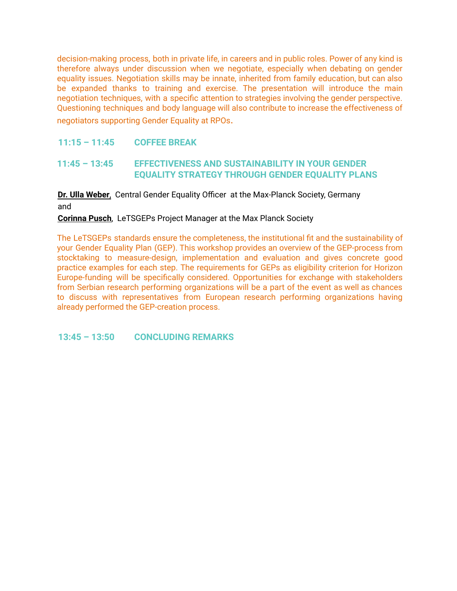decision-making process, both in private life, in careers and in public roles. Power of any kind is therefore always under discussion when we negotiate, especially when debating on gender equality issues. Negotiation skills may be innate, inherited from family education, but can also be expanded thanks to training and exercise. The presentation will introduce the main negotiation techniques, with a specific attention to strategies involving the gender perspective. Questioning techniques and body language will also contribute to increase the effectiveness of negotiators supporting Gender Equality at RPOs.

#### **11:15 – 11:45 COFFEE BREAK**

### **11:45 – 13:45 EFFECTIVENESS AND SUSTAINABILITY IN YOUR GENDER EQUALITY STRATEGY THROUGH GENDER EQUALITY PLANS**

## **Dr. Ulla [Weber](https://www.linkedin.com/in/dr-ulla-weber-01aa0334/)**, Central Gender Equality Officer at the Max-Planck Society, Germany and

#### **[Corinna](https://www.linkedin.com/in/corinna-pusch-020945183/) Pusch**, LeTSGEPs Project Manager at the Max Planck Society

The LeTSGEPs standards ensure the completeness, the institutional fit and the sustainability of your Gender Equality Plan (GEP). This workshop provides an overview of the GEP-process from stocktaking to measure-design, implementation and evaluation and gives concrete good practice examples for each step. The requirements for GEPs as eligibility criterion for Horizon Europe-funding will be specifically considered. Opportunities for exchange with stakeholders from Serbian research performing organizations will be a part of the event as well as chances to discuss with representatives from European research performing organizations having already performed the GEP-creation process.

**13:45 – 13:50 CONCLUDING REMARKS**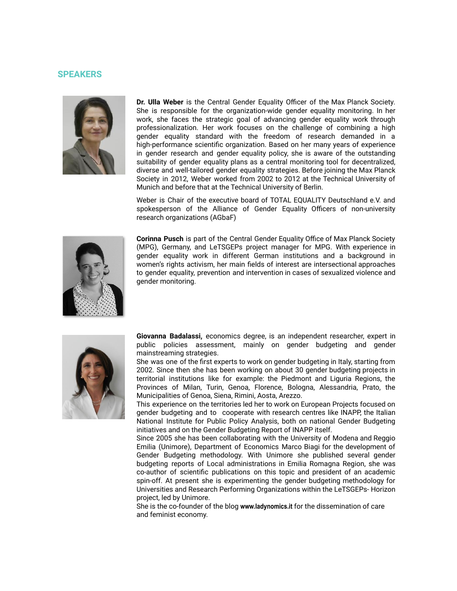#### **SPEAKERS**



**Dr. Ulla Weber** is the Central Gender Equality Officer of the Max Planck Society. She is responsible for the organization-wide gender equality monitoring. In her work, she faces the strategic goal of advancing gender equality work through professionalization. Her work focuses on the challenge of combining a high gender equality standard with the freedom of research demanded in a high-performance scientific organization. Based on her many years of experience in gender research and gender equality policy, she is aware of the outstanding suitability of gender equality plans as a central monitoring tool for decentralized, diverse and well-tailored gender equality strategies. Before joining the Max Planck Society in 2012, Weber worked from 2002 to 2012 at the Technical University of Munich and before that at the Technical University of Berlin.

Weber is Chair of the executive board of TOTAL EQUALITY Deutschland e.V. and spokesperson of the Alliance of Gender Equality Officers of non-university research organizations (AGbaF)



**Corinna Pusch** is part of the Central Gender Equality Office of Max Planck Society (MPG), Germany, and LeTSGEPs project manager for MPG. With experience in gender equality work in different German institutions and a background in women's rights activism, her main fields of interest are intersectional approaches to gender equality, prevention and intervention in cases of sexualized violence and gender monitoring.



**Giovanna Badalassi,** economics degree, is an independent researcher, expert in public policies assessment, mainly on gender budgeting and gender mainstreaming strategies.

She was one of the first experts to work on gender budgeting in Italy, starting from 2002. Since then she has been working on about 30 gender budgeting projects in territorial institutions like for example: the Piedmont and Liguria Regions, the Provinces of Milan, Turin, Genoa, Florence, Bologna, Alessandria, Prato, the Municipalities of Genoa, Siena, Rimini, Aosta, Arezzo.

This experience on the territories led her to work on European Projects focused on gender budgeting and to cooperate with research centres like INAPP, the Italian National Institute for Public Policy Analysis, both on national Gender Budgeting initiatives and on the Gender Budgeting Report of INAPP itself.

Since 2005 she has been collaborating with the University of Modena and Reggio Emilia (Unimore), Department of Economics Marco Biagi for the development of Gender Budgeting methodology. With Unimore she published several gender budgeting reports of Local administrations in Emilia Romagna Region, she was co-author of scientific publications on this topic and president of an academic spin-off. At present she is experimenting the gender budgeting methodology for Universities and Research Performing Organizations within the LeTSGEPs- Horizon project, led by Unimore.

She is the co-founder of the blog **[www.ladynomics.it](http://www.ladynomics.it)** for the dissemination of care and feminist economy.